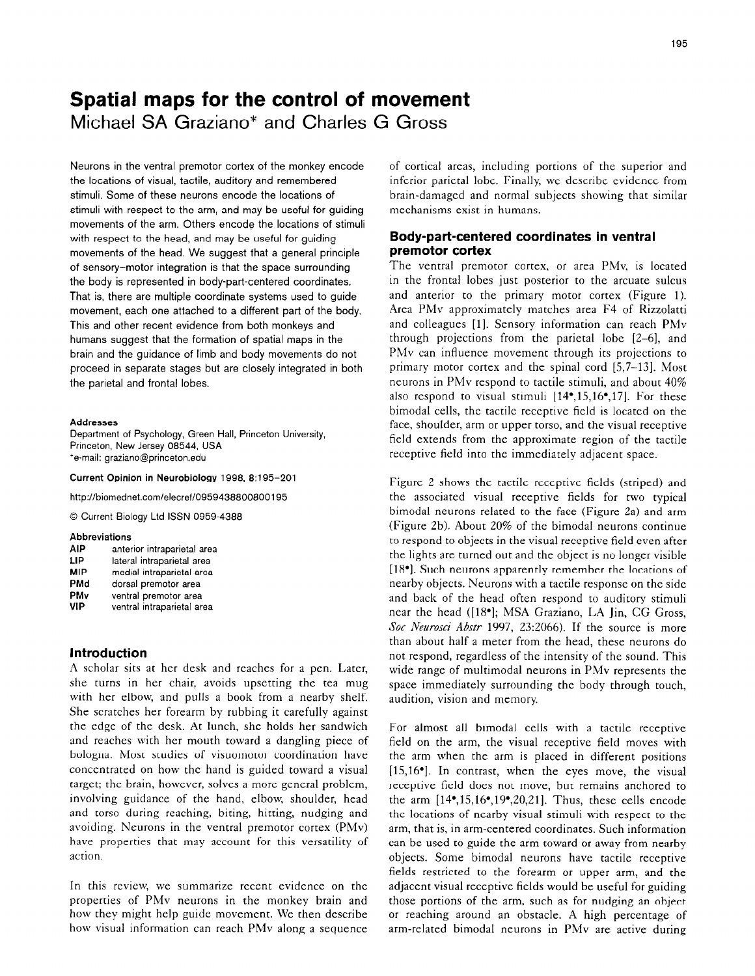# **Spatial maps for the control of movement**  Michael SA Graziano\* and Charles G Gross

Neurons in the ventral premotor cortex of the monkey encode the locations of visual, tactile, auditory and remembered stimuli. Some of these neurons encode the locations of stimuli with respect to the arm, and may be useful for guiding movements of the arm. Others encode the locations of stimuli with respect to the head, and may be useful for guiding movements of the head. We suggest that a general principle of sensory-motor integration is that the space surrounding the body is represented in body-part-centered coordinates. That is, there are multiple coordinate systems used to guide movement, each one attached to a different part of the body. This and other recent evidence from both monkeys and humans suggest that the formation of spatial maps in the brain and the guidance of limb and body movements do not proceed in separate stages but are closely integrated in both the parietal and frontal lobes.

#### Addresses

Department of Psychology, Green Hall, Princeton University, Princeton, New Jersey 08544, USA \*e-mail: graziano@princeton.edu

#### Current Opinion in Neurobiology 1998, 8:195-201

http://biomednet.com/elecref/0959438800800195

0 Current Biology Ltd ISSN 0959-4388

#### Abbreviations

| <b>AIP</b>            | anterior intraparietal area |
|-----------------------|-----------------------------|
| LIP                   | lateral intraparietal area  |
| <b>MIP</b>            | medial intraparietal area   |
| <b>PMd</b>            | dorsal premotor area        |
| <b>PM<sub>v</sub></b> | ventral premotor area       |
| <b>VIP</b>            | ventral intraparietal area  |

## **Introduction**

A scholar sits at her desk and reaches for a pen. Later, she turns in her chair, avoids upsetting the tea mug with her elbow, and pulls a book from a nearby shelf. She scratches her forearm by rubbing it carefully against the edge of the desk. At lunch, she holds her sandwich and reaches with her mouth toward a dangling piece of bologna. Most studies of visuomotor coordination have concentrated on how the hand is guided toward a visual target; the brain, however, solves a more general problem, involving guidance of the hand, elbow, shoulder, head and torso during reaching, biting, hitting, nudging and avoiding. Neurons in the ventral premotor cortex (PMv) have properties that may account for this versatility of action.

In this review, we summarize recent evidence on the properties of PMv neurons in the monkey brain and how they might help guide movement. We then describe how visual information can reach PMv along a sequence

of cortical areas, including portions of the superior and inferior parietal lobe. Finally, we describe evidence from brain-damaged and normal subjects showing that similar mechanisms exist in humans.

# **Body-part-centered coordinates in ventral premotor cortex**

The ventral premotor cortex, or area PMv, is located in the frontal lobes just posterior to the arcuate sulcus and anterior to the primary motor cortex (Figure 1). Area PMv approximately matches area F4 of Rizzolatti and colleagues [l]. Sensory information can reach PMv through projections from the parietal lobe [Z-6], and PMv can influence movement through its projections to primary motor cortex and the spinal cord [5,7-131. Most neurons in PMv respond to tactile stimuli, and about 40% also respond to visual stimuli  $[14^{\circ},15,16^{\circ},17]$ . For these bimodal cells, the tactile receptive field is located on the face, shoulder, arm or upper torso, and the visual receptive field extends from the approximate region of the tactile receptive field into the immediately adjacent space.

Figure 2 shows the tactile receptive fields (striped) and the associated visual receptive fields for two typical bimodal neurons related to the face (Figure Za) and arm (Figure Zb). About 20% of the bimodal neurons continue to respond to objects in the visual receptive field even after the lights are turned out and the object is no longer visible [18']. Such neurons apparently remember the locations of nearby objects. Neurons with a tactile response on the side and back of the head often respond to auditory stimuli near the head ([18<sup>•</sup>]; MSA Graziano, LA Jin, CG Gross, Sot Neurosci *Abstr 1997, 232066).* If the source is more than about half a meter from the head, these neurons do not respond, regardless of the intensity of the sound. This wide range of multimodal neurons in PMv represents the space immediately surrounding the body through touch, audition, vision and memory.

For almost all bimodal cells with a tactile receptive field on the arm, the visual receptive field moves with the arm when the arm is placed in different positions  $[15,16^{\circ}]$ . In contrast, when the eyes move, the visual receptive field does not move, but remains anchored to the arm  $[14^{\bullet}, 15, 16^{\bullet}, 19^{\bullet}, 20, 21]$ . Thus, these cells encode the locations of nearby visual stimuli with respect to the arm, that is, in arm-centered coordinates. Such information can be used to guide the arm toward or away from nearby objects. Some bimodal neurons have tactile receptive fields restricted to the forearm or upper arm, and the adjacent visual receptive fields would be useful for guiding those portions of the arm, such as for nudging an object or reaching around an obstacle. A high percentage of arm-related bimodal neurons in PMv are active during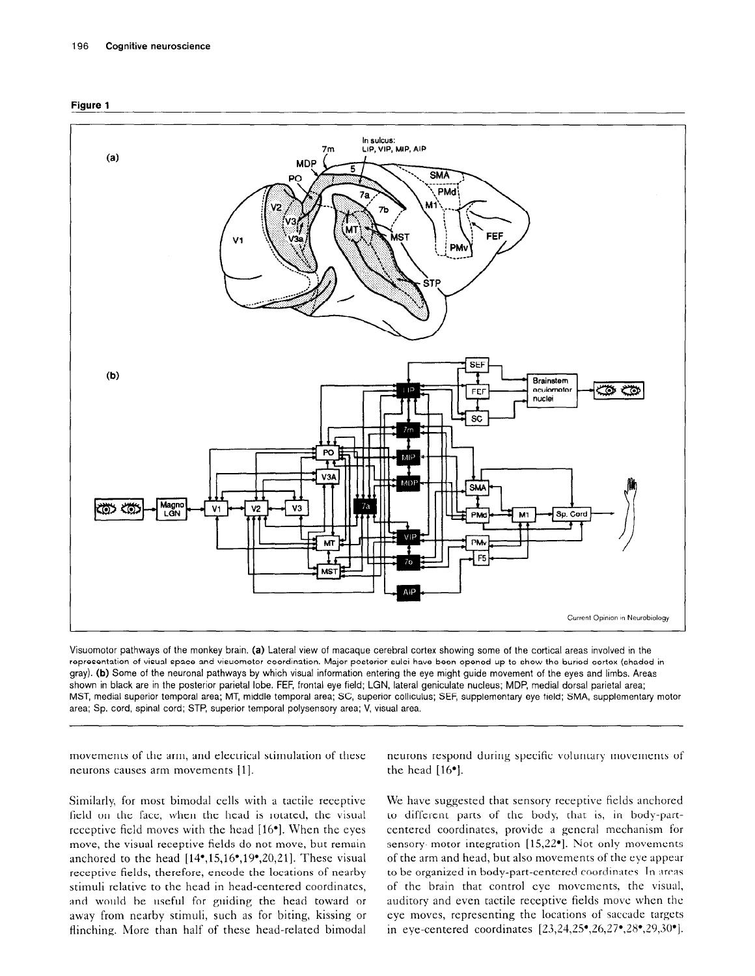



Visuomotor pathways of the monkey brain. **(a)** Lateral view of macaque cerebral cortex showing some of the cortical areas involved in the representation of visual space and visuomotor coordination. Major posterior sulci have been opened up to show the burred cortex (shaded in gray). **(b)** Some of the neuronal pathways by which visual information entering the eye might guide movement of the eyes and limbs. Areas shown in black are in the posterior parietal lobe. FEF, frontal eye field; LGN, lateral geniculate nucleus; MDP, medial dorsal parietal area; MST, medial superior temporal area; MT, middle temporal area; SC, superior colliculus; SEF, supplementary eye field; SMA, supplementary motor area; Sp. cord, spinal cord; STP, superior temporal polysensory area; V, visual area.

neurons causes arm movements [1]. the head [16<sup>\*</sup>].

Similarly, for most bimodal cells with a tactile receptive field on the face, when the head is rotated, the visual receptive field moves with the head [16']. When the eyes move, the visual receptive fields do not move, but remain anchored to the head  $[14^{\bullet},15,16^{\bullet},19^{\bullet},20,21]$ . These visual receptive fields, therefore, encode the locations of nearby stimuli relative to the head in head-centered coordinates, and would be useful for guiding the head toward or away from nearby stimuli, such as for biting, kissing or flinching. More than half of these head-related bimodal

movements of the arm, and electrical stimulation of these neurons respond during specific voluntary movements of

We have suggested that sensory receptive fields anchored to different parts of the body, that is, in body-partcentered coordinates, provide a general mechanism for sensory-motor integration  $[15,22^{\circ}]$ . Not only movements of the arm and head, but also movements of the eye appear to be organized in body-part-centered coordinates. In arcas of the brain that control eye movements, the visual, auditory and even tactile receptive fields move when the eye moves, representing the locations of saccade targets in eye-centered coordinates  $[23,24,25^{\bullet},26,27^{\bullet},28^{\bullet},29,30^{\bullet}].$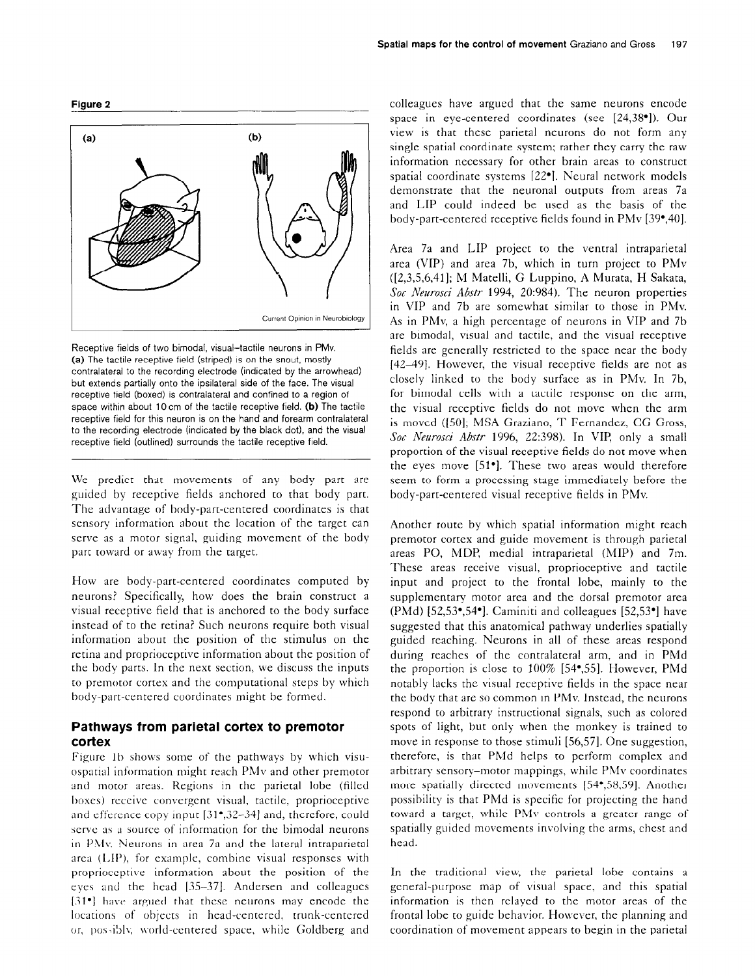

Receptive fields of two bimodal, visual-tactile neurons in PMv. (a) The tactile receptive field (striped) is on the snout, mostly contralateral to the recording electrode (indicated by the arrowhead) but extends partially onto the ipsllateral side of the face. The visual receptive field (boxed) is contralateral and confined to a region of space within about 10 cm of the tactile receptive field. **(b)** The tactile receptive field for this neuron is on the hand and forearm contralateral to the recording electrode (indicated by the black dot), and the visual receptive field (outlined) surrounds the tactile receptive field.

We predict that movements of any body part are guided by receptive fields anchored to that body part. The advantage of body-part-centered coordinates is that sensory information about the location of the carget can serve as a motor signal, guiding movement of the body part toward or away from the target.

How are body-part-centered coordinates computed by neurons? Specifically, how does the brain construct a visual receptive field that is anchored to the body surface instead of to the retina? Such neurons require both visual information about the position of the stimulus on the retina and proprioceptive information about the position of the body parts. In the next section, we discuss the inputs to premotor cortex and the computational steps by which body-part-centered coordinates might bc formed.

# **Pathways from parietal cortex to premotor cortex**

Figure 1b shows some of the pathways by which visuospatial information might reach PMv and other premotor and motor areas. Regions in the parietal lobe (filled boxes) reccivc convergent visual, tactile, proprioceptive and efference copy input [31\*,32-34] and, therefore, could serve as a source of information for the bimodal neurons in PMv. Neurons in area 7a and the lateral intraparietal area (LIP), for example, combine visual responses with proprioccptive information about the position of the eyes and the head [35-371. Andersen and collcagues [31-l have argued that these neurons may encode the locations of objects in head-centered, trunk-centered or, possibly, world-centered space, while Goldberg and colleagues have argued that the same neurons encode space in eye-centered coordinates (see [24,38<sup>•</sup>]). Our view is that these parietal neurons do not form any single spatial coordinate system; rather they carry the raw information necessary for other brain areas to construct spatial coordinate systems  $[22^{\bullet}]$ . Neural network models demonstrate that the neuronal outputs from areas 7a and LIP could indeed be used as the basis of the body-part-centered receptive fields found in PMv [39\*,40].

Area 7a and LIP project to the ventral intraparietal area (VIP) and area 7b, which in turn project to PMv ([2,3,5,6,41]; M Matelli, G Luppino, A Murata, H Sakata, Sot *Neurosci Abstr 1994, 20:984).* The neuron properties in VIP and 7b are somewhat similar to those in PMv. As in PMv, a high percentage of neurons in VIP and 7b are bimodal, visual and tactile, and the visual receptive fields are generally restricted to the space near the body [42-49]. However, the visual receptive fields are not as closely linked to the body surface as in PMv. In 7b, for bimodal cells with a tactile response on the arm, the visual receptive fields do not move when the arm is moved ([SO]; MSA Graziano, T Fernandez, CG Gross, Sot Neurosci *Abstr 1996, 22:398).* In VIP, only a small proportion of the visual receptive fields do not move when the eyes move [Sl']. These two areas would therefore seem to form a processing stage immediately before the body-part-centered visual receptive fields in PMv.

Another route by which spatial information might reach premotor cortex and guide movement is through parietal areas PO, MDP, medial intraparietal (MIP) and 7m. These areas receive visual, proprioceptive and tactile input and project to the frontal lobe, mainly to the supplementary motor area and the dorsal premotor area  $(PMd)$  [52,53 $\bullet$ ,54 $\bullet$ ]. Caminiti and colleagues [52,53 $\bullet$ ] have suggested that this anatomical pathway underlies spatially guided reaching. Neurons in all of these areas respond during reaches of the contralateral arm, and in PMd the proportion is close to  $100\%$  [54 $\bullet$ ,55]. However, PMd notably lacks the visual receptive fields in the space near the body that are so common in PMv. Instead, the neurons respond to arbitrary instructional signals, such as colored spots of light, but only when the monkey is trained to move in response to those stimuli [56,57]. One suggestion, therefore, is that PMd helps to perform complex and arbitrary sensory-motor mappings, while PMv coordinates more spatially directed movements [54\*,58,59]. Another possibility is that PMd is specific for projecting the hand toward a target, while Phlv controls a greater range of spatially guided movements involving the arms, chest and head.

In the traditional view, the parietal lobe contains a general-purpose map of visual space, and this spatial information is then relayed to the motor areas of the frontal lobe to guide behavior. However, the planning and coordination of movement appears to begin in the parietal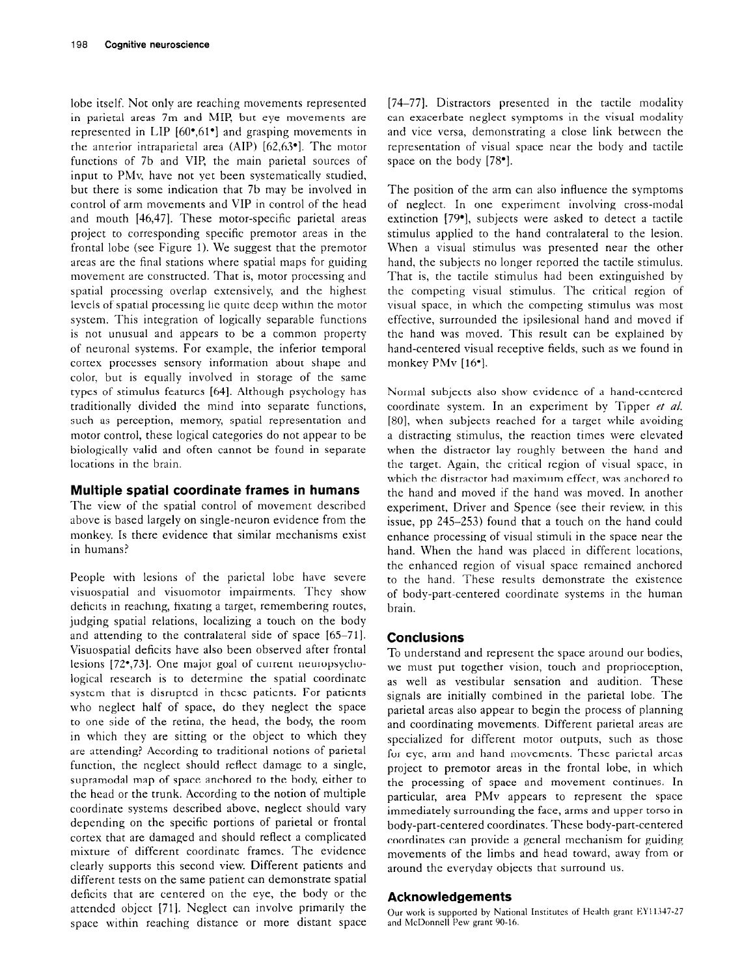lobe itself. Not only are reaching movements represented in parietal areas 7m and MIP, but eye movements are represented in LIP [60\*,61\*] and grasping movements in the anterior intraparietal area (AIP) [62,63\*]. The motor functions of 7b and VIP, the main parietal sources of input to PMv, have not yet been systematically studied, but there is some indication that 7b may be involved in control of arm movements and VIP in control of the head and mouth [46,47]. These motor-specific parietal areas project to corresponding specific premotor areas in the frontal lobe (see Figure 1). We suggest that the premotor areas are the final stations where spatial maps for guiding movement are constructed. That is, motor processing and spatial processing overlap extensively, and the highest levels of spatial processing lie quite deep within the motor system. This integration of logically separable functions is not unusual and appears to be a common property of neuronal systems. For example, the inferior temporal cortex processes sensory information about shape and color, but is equally involved in storage of the same types of stimulus features [64]. Although psychology has traditionally divided the mind into separate functions, such as perception, memory, spatial representation and motor control, these logical categories do not appear to be biologically valid and often cannot be found in separate locations in the brain.

## **Multiple spatial coordinate frames in humans**

The view of the spatial control of movement described above is based largely on single-neuron evidence from the monkey. Is there evidence that similar mechanisms exist in humans?

People with lesions of the parietal lobe have severe visuospatial and visuomotor impairments. They show deficits in reaching, fixating a target, remembering routes, judging spatial relations, localizing a touch on the body and attending to the contralateral side of space [65-71]. Visuospatial deficits have also been observed after frontal lesions [72\*,73]. One major goal of current neuropsychological research is to determine the spatial coordinate system that is disrupted in these patients. For patients who neglect half of space, do they neglect the space to one side of the retina, the head, the body, the room in which they are sitting or the object to which they are attending? According to traditional notions of parietal function, the neglect should reflect damage to a single, supramodal map of space anchored to the body, either to the head or the trunk. According to the notion of multiple coordinate systems described above, neglect should vary depending on the specific portions of parietal or frontal cortex that are damaged and should reflect a complicated mixture of different coordinate frames. The evidence clearly supports this second view. Different patients and different tests on the same patient can demonstrate spatial deficits that are centered on the eye, the body or the attended object [71]. Neglect can involve primarily the space within reaching distance or more distant space [74-77]. Distractors presented in the tactile modality can exacerbate neglect symptoms in the visual modality and vice versa, demonstrating a close link between the representation of visual space near the body and tactile space on the body [78<sup> $\bullet$ </sup>].

The position of the arm can also influence the symptoms of neglect. In one experiment involving cross-modal extinction [79\*], subjects were asked to detect a tactile stimulus applied to the hand contralateral to the lesion. When a visual stimulus was presented near the other hand, the subjects no longer reported the tactile stimulus. That is, the tactile stimulus had been extinguished by the competing visual stimulus. The critical region of visual space, in which the competing stimulus was most effective, surrounded the ipsilesional hand and moved if the hand was moved. This result can be explained by hand-centered visual receptive fields, such as we found in monkey PMv [16<sup>\*</sup>].

Normal subjects also show evidence of a hand-centered coordinate system. In an experiment by Tipper et *al.*  [80], when subjects reached for a target while avoiding a distracting stimulus, the reaction times were elevated when the distractor lay roughly between the hand and the target. Again, the critical region of visual space, in which the distractor had maximum effect, was anchored to the hand and moved if the hand was moved. In another experiment, Driver and Spence (see their review, in this issue, pp 245-253) found that a touch on the hand could enhance processing of visual stimuli in the space near the hand. When the hand was placed in different locations, the enhanced region of visual space remained anchored to the hand. These results demonstrate the existence of body-part-centered coordinate systems in the human brain.

## **Conclusions**

To understand and represent the space around our bodies, we must put together vision, touch and proprioception, as well as vestibular sensation and audition. These signals are initially combined in the parietal lobe. The parietal areas also appear to begin the process of planning and coordinating movements. Different parietal areas are specialized for different motor outputs, such as those for eye, arm and hand movements. These parietal areas project to premotor areas in the frontal lobe, in which the processing of space and movement continues. In particular, area PMv appears to represent the space immediately surrounding the face, arms and upper torso in body-part-centered coordinates. These body-part-centered coordinates can provide a general mechanism for guiding movements of the limbs and head toward, away from or around the everyday objects that surround us.

### **Acknowledgements**

**Our** work is supported by National Institutes of Health grant EYI 1347-27 and McDonnell Pew grant 90-16.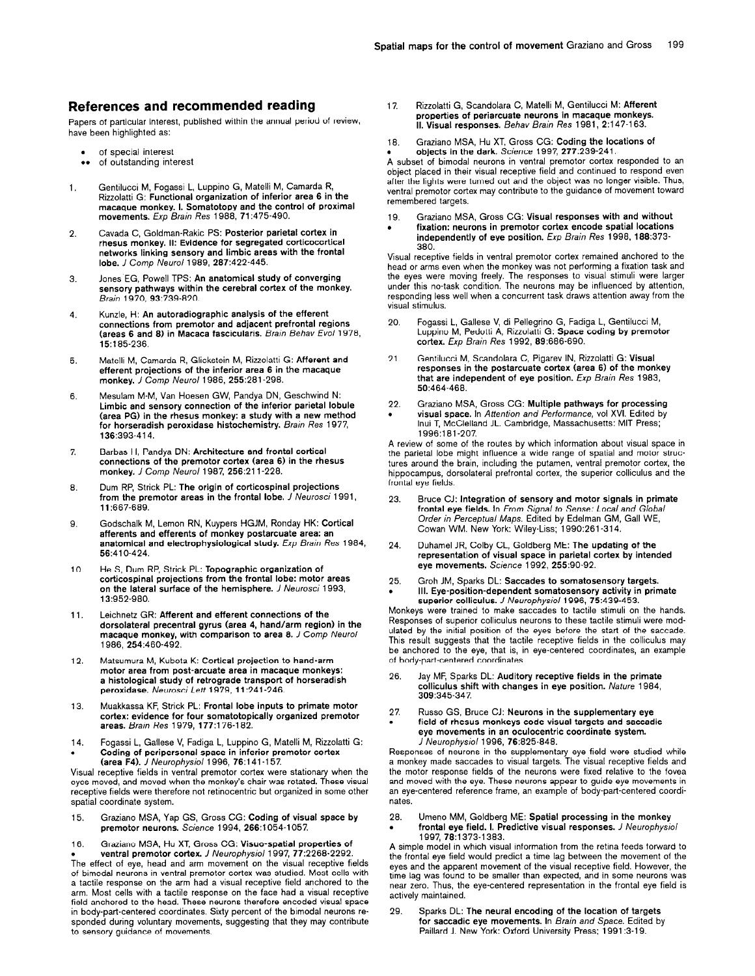# **References and recommended reading**

Papers of particular interest, published within the annual period of review, have been highlighted as:

- . of special interest
- of outstanding interest
- 1. Gentilucci M, Fogassi L, Luppino G, Matelli M, Camarda R, Rizzolatti G: Functional organization of inferior area 6 in the macaque monkey. I. Somatotopy and the control of proximal movements. *Exp Brain Res* 1988, 71:475-490.
- 2. Cavada C, Goldman-Rakic PS: Posterior parietal cortex in rhesus monkey. II: Evidence for segregated corticocortica<br>networks linking sensory and limbic areas with the fronta lobe. *J Comp Neural* 1989, 287:422-445.
- 3. Jones EG, Powell TPS: An anatomical study of converging sensory pathways within the cerebral cortex of the monkey. *Brain* 1970, 93:739-820.
- 4. Kunzle, H: An autoradiographic analysis of the efferent connections from premotor and adjacent prefrontal regions (areas 6 and 8) in Macaca fascicularis. *Brain Behav Evol* 1978, 15:185-236.
- 5. MateIll M, Camarda R, Glickstein M, Rizzolatti G: Afferent and efferent projections of the inferior area 6 in the macaque monkey. *J Comp Neural* 1986, 255:281-298.
- 6. Mesulam M-M, Van Hoesen GW, Pandya DN, Geschwind N: Limbic and sensory connection of the inferior parietal lobule (area PG) in the rhesus monkey: a study with a new method for horseradish peroxidase histochemistry. *Brain Res* 1977, 136:393-414.
- 7. Barbas H, Pandya DN: Architecture and frontal cortical connections of the premotor cortex (area 6) in the rhesus monkey. *J Comp Neural* 1987, 256:21 l-228.
- 8. Dum RP, Strick PL: The origin of corticospinal projections from the premotor areas in the frontal lobe. *J Neurosci* 1991, 11:667-689.
- 9. Godschalk M, Lemon RN, Kuypers HGJM, Ronday HK: Cortical afferents and efferents of monkey postarcuate area: an anatomical and electrophysiological study. *Exp Brain Res* 1984, 56:41 O-424.
- 10. He S, Dum RP, Strick PL: Topographic organization of corticospinal projections from the frontal lobe: motor areas on the lateral surface of the hemisphere. *J Neurosci* 1993, 13:952-980.
- 11. Leichnetz GR: Afferent and efferent connections of the dorsolateral precentral gyrus (area 4, hand/arm region) in the macaque monkey, with comparison to area 8. *J Comp Neural*  1986, 254:460-492.
- 12. Matsumura M, Kubota K: Cortical projection to hand-arm motor area from post-arcuate area in macaque monkeys: a histological study of retrograde transport of horseradish peroxidase. Neurosci Lett 1979, 11:241-246.
- 13. Muakkassa KF, Strick PL: Frontal lobe inputs to primate motor cortex: evidence for four somatotopically organized premotor areas. *Brain Res* 1979, 177:176-i 82.
- 14. . Fogassi L, Gallese V, Fadiga L, Luppino G, Matelli M, Rizzolatti G: Coding of peripersonal space in inferior premotor cortex (area F4). *J Neurophysiol 1996,* 76:i 41-l 57.

Visual receptive fields in ventral premotor cortex were stationary when the eyes moved, and moved when the monkey's chair was rotated. These visual receptive fields were therefore not retinocentric but organized in some other spatial coordinate system.

15. Graziano MSA, Yap GS, Gross CG: Coding of visual space by premotor neurons. Science 1994, 266:1054-l 057.

16. Graziano MSA, Hu XT, Gross CG: Visuo-spatial properties of ventral premotor cortex. *J Neurophysiol* 1997, 77:2268-2292. The effect of eye, head and arm movement on the visual receptive fields of bimodal neurons in ventral premotor cortex was studied. Most cells with a tactile response on the arm had a visual receptive field anchored to the arm. Most cells with a tactile response on the face had a visual receptive field anchored to the head. These neurons therefore encoded visual space in body-part-centered coordinates. Sixty percent of the bimodal neurons responded during voluntary movements, suggesting that they may contribut<br>to sensory guidance of movements.

- 17. Rizzolatti G, Scandolara C, Matelli M, Gentilucci M: Afferent properties of periarcuate neurons in macaque monkeys. II. Visual responses. *Behav Brain Res* 1981, 2:147-l 63.
- 18. Graziano MSA, Hu XT, Gross CG: Coding the locations of objects in the dark. Science 1997, 277:239-241.

A subset of bimodal neurons in ventral premotor cortex responded to an object placed in their visual receptive field and continued to respond even after the lights were turned out and the object was no longer visible. Thus, ventral premotor cortex may contribute to the guidance of movement toward remembered targets.

19. Graziano MSA, Gross CG: Visual responses with and without . fixation: neurons in premotor cortex encode spatial locations independently of eye position. *Exp Brain Res* 1998, 188:373- 380.

Visual receptive fields in ventral premotor cortex remained anchored to the head or arms even when the monkey was not performing a fixation task and the eyes were moving freely. The responses to visual stimuli were larger under this no-task condition. The neurons may be influenced by attention, responding less well when a concurrent task draws attention away from the visual stimulus.

- 20. Fogassi L, Gallese V, di Pellegrino G, Fadiga L, Gentilucci M, Luppino M, Pedotti A, Rizzolatti G: Space coding by premotor cortex. *Exp Brain Res* 1992, 89:686-690.
- 21. Gentilucci M, Scandolara C, Pigarev IN, Rizzolatti G: Visual responses in the postarcuate cortex (area 6) of the monkey that are independent of eye position. *Exp Brain Res 1983,*  50:464-468.
- 22. Graziano MSA, Gross CG: Multiple pathways for processing . visual space. In Attention *and Performance,* vol XVI. Edited by lnui T, McClelland JL. Cambridge, Massachusetts: MIT Press; 1996:181-207.

A review of some of the routes by which information about visual space in the parietal lobe might influence a wide range of spatial and motor structures around the brain, including the putamen, ventral premotor cortex, the hippocampus, dorsolateral prefrontal cortex, the superior colliculus and the frontal eye fields.

- 23. Bruce CJ: Integration of sensory and motor signals in primate frontal eye fields. In *From Signal to Sense: Local and Global Order in Perceptual Maps.* Edited by Edelman GM, Gall WE, Cowan WM. New York: Wiley-Liss; 1990:261-314.
- 24. Duhamel JR, Colby CL, Goldberg ME: The updating of the representation of visual space in parietal cortex by intended eye movements. Science 1992, 255:90-92.
- 25. Groh JM, Sparks DL: Saccades to somatosensory targets. . Ill. Eye-position-dependent somatosensory activity in primate superior colliculus. *J Neurophysiol 1996, 75:439-453.*

Monkeys were trained to make saccades to tactile stimuli on the hands. Responses of superior colliculus neurons to these tactile stimuli were modulated by the initial position of the eyes before the start of the saccade. This result suggests that the tactile receptive fields in the colliculus may be anchored to the eye, that is, in eye-centered coordinates, an example of body-part-centered coordinates.

- 26. Jay MF, Sparks DL: Auditory receptive fields in the primate colliculus shift with changes in eye position. Nature 1984, 309:345-347.
- 27. Russo GS, Bruce CJ: *Neurons* in the supplementary eye . field of rhesus monkeys code visual targets and saccadic eye movements in an oculocentric coordinate system. *J Neurophysiol 1996, 76:825-848.*

Responses of neurons in the supplementary eye field were studied while a monkey made saccades to visual targets. The visual receptive fields and the motor response fields of the neurons were fixed relative to the fovea and moved with the eye. These neurons appear to guide eye movements in an eye-centered reference frame, an example of body-part-centered coordinates.

28. Umeno MM, Goldberg ME: Spatial processing in the monkey . frontal eye field. I. Predictive visual responses. *J Neurophysiol*  1997, 78:1373-l 383.

A simple model in which visual information from the retina feeds forward to the frontal eye field would predict a time lag between the movement of the eyes and the apparent movement of the visual receptive field. However, the time lag was found to be smaller than expected, and in some neurons was near zero. Thus, the eye-centered representation in the frontal eye field is actively maintained.

29. Sparks DL: The neural encoding of the location of targets for saccadic eye movements. In *Brain and Space.* Edited by Paillard J. New York: Oxford University Press; 1991:3-19.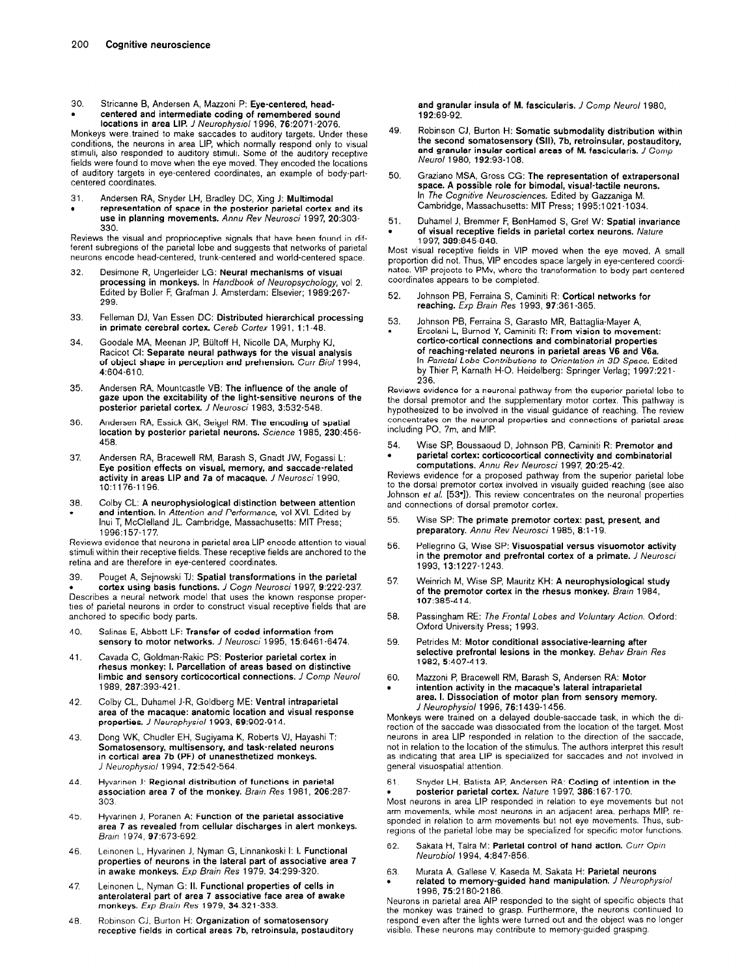30. Stricanne B, Andersen A, Mazzoni P: Eye-centered, head- . centered and intermediate coding of remembered sound locations in area LIP. *J Neurophysiol* 1996, 76:2071-2076.

Monkeys were trained to make saccades to auditory targets. Under these conditions, the neurons in area LIP, which normally respond only to visual stimuli, also responded to auditory stimuli. Some of the auditory receptive fields were found to move when the eye moved. They encoded the locations of auditory targets in eye-centered coordinates, an example of body-partcentered coordinates.

- 31. Andersen RA, Snyder LH, Bradley DC, Xing J: Multimodal
- . representation of space in the posterior parietal cortex and its use in planning movements. *Annu Rev Neurosci* 1997, 20:303- 330.

Reviews the visual and proprioceptive signals that have been found in different subregions of the parietal lobe and suggests that networks of parietal neurons encode head-centered, trunk-centered and world-centered space.

- 32. Desimone R, Ungerleider LG: Neural mechanisms of visual processing in monkeys. In *Handbook of Neuropsychology, vol* 2. Edited by Boiler F, Grafman J. Amsterdam: Elsevier; 1989:267- 299.
- 33. Felleman DJ, Van Essen DC: Distributed hierarchical processing in primate cerebral cortex. Cereb Cortex 1991, 1:1-48
- 34. Goodale MA, Meenan JP, Bijltoff H, Nicolle DA, Murphy KJ, Racicot Cl: Separate neural pathways for the visual analysis of object shape in perception and prehension. Curr Biol 1994, 4:604-610.
- 35. Andersen RA, Mountcastle VB: The influence of the angle of gaze upon the excitability of the light-sensitive neurons of the posterior parietal cortex. *J Neurosci* 1983, 3:532-548.
- 36. Andersen RA, Essick GK, Seigel RM: The encoding of spatial location by posterior parietal neurons. Science 1985, 230:456- 450.
- 37. Andersen RA, Bracewell RM, Barash S, Gnadt JW, Fogassi L: Eye position effects on visual, memory, and saccade-related activity in areas LIP and 7a of macaque. *J Neurosci* 1990, 1O:l 176-I 196.
- 38. Colby CL: A neurophysiological distinction between attention
- . and intention. In *Attention and Performance,* vol XVI. Edited by lnui T, McClelland JL. Cambridge, Massachusetts: MIT Press; 1996:157-177.

..- Revlews evidence that neurons In panetal area LIP encode attention to visual stimuli within their receptive fields. These receptive fields are anchored to the retina and are therefore in eye-centered coordinates.

39. Pouget A, Sejnowski TJ: Spatial transformations in the parietal cortex using basis functions. *J Cogn Neurosci* 1997, 9:222-237. Describes a neural network model that uses the known response properties of parietal neurons in order to construct visual receptive fields that are anchored to specific body parts.

- 40. Salinas E, Abbott LF: Transfer of coded information from sensory to motor networks. *J Neurosci* 1995, 15:6461-6474.
- 41. Cavada C, Goldman-Rakic PS: Posterior parietal cortex in rhesus monkey: I. Parcellation of areas based on distinctive limbic and sensory corticocortical connections. *J Comp Neurol*  1989, 287:393-421.
- 42. Colby CL, Duhamel J-R, Goldberg ME: Ventral intraparietal area of the macaque: anatomic location and visual response properties. *J Neurophysiol* 1993, 69:902-914.
- 43. Dong WK, Chudler EH, Sugiyama K. Roberts VJ, Hayashi T: Somatosensory, multisensory, and task-related neuron<br>in cortical area 7b (PF) of unanesthetized monkeys. *J Neurophysiol* 1994, 72:542-564.
- 44. Hyvannen J: Regional distribution of functions in parietal association area 7 of the monkey. Brain Res 1981, 206:287- 303.
- 45. Hyvarinen J, Poranen A: Function of the parietal associative area 7 as revealed from cellular discharges in alert monkeys. *&am* 1974, 97:673-692.
- 46. Leinonen L, Hyvarinen J, Nyman G, Linnankoski I: I. Functional properties of neurons in the lateral part of associative area 7 in awake monkeys. Exp *Brain Res* 1979, 34:299-320.
- 4 7. Leinonen L, Nyman G: II. Functional properties of cells in anterolateral part of area 7 associative face area of awake monkeys. *Exp Brain Res* 1979, 34:321-333.
- 48. Robinson CJ. Burton H: Organization of somatosensory receptive fields in cortical areas 7b, retroinsula, postauditory

and granular insula of M. fascicularis. *J Comp Neural* 1980, 192:89-92.

- 49. Robinson CJ, Burton H: Somatic submodality distribution within the second somatosensory (SII), 7b, retroinsular, postauditory, and granular insular cortical areas of M. fascicularis. *J Comp Neural* 1980, 192:93-l 08.
- 50. Graziano MSA, Gross CG: The representation of extrapersonal space. A possible role for bimodal, visual-tactile neurons. In The Cognitive Neurosciences. Edited by Gazzaniga M. Cambridge, Massachusetts: MIT Press; 1995:1021-1034.
- 51. Duhamel J, Bremmer F, BenHamed S, Gref W: Spatial invariance . of visual receptive fields in parietal cortex neurons. *Nature*  1997, 389:845-848.

Most visual receptive fields in VIP moved when the eye moved. A small proportion did not. Thus, VIP encodes space largely in eye-centered coordinates. VIP projects to PMv, where the transformation to body-part-centered coordinates appears to be completed.

- 52. Johnson PB, Ferraina S, Caminiti R: Cortical networks for reaching. fxp *Brain Res 1993,* 97:361-365.
- 53. Johnson PB, Ferraina S, Garasto MR, Battaglia-Mayer A, . Ercolani L, Burnod Y, Caminiti R: From vision to movement: cortico-cortical connections and combinatorial properties of reaching-related neurons in parietal areas V6 and V6a. In *Pariefal Lobe Contributions to Orientation in 30 Space.* Edited by Thier P, Karnath H-O. Heidelberg: Springer Verlag; 1997:221- 236.

Reviews evidence for a neuronal pathway from the superior parietal lobe to the dorsal premotor and the supplementary motor cortex. This pathway is hypothesized to be involved in the visual guidance of reaching. The review concentrates on the neuronal properties and connections of parietal areas including PO, 7m, and MIP.

54. Wise SP, Boussaoud D, Johnson PB, Caminiti R: Premotor and . parietal cortex: corticocortical connectivity and combinatorial computations. *Annu Rev Neurosci* 1997, 20:25-42.

Reviews evidence for a proposed pathway from the superior parietal lobe to the dorsal premotor cortex involved in visually guided reaching (see also Johnson et al. [53<sup>•</sup>]). This review concentrates on the neuronal properties and connections of dorsal premotor cortex.

- 55. Wise SP: The primate premotor cortex: past, present, and preparatory. *Annu Rev Neurosci* 1985, 8:1-l 9.
- 56. Pellegrino G, Wise SP: Visuospatial versus visuomotor activity in the premotor and prefrontal cortex of a primate. J Neurosci 1993, 13:1227-l 243.
- 57. Weinrich M, Wise SP, Mauritz KH: A neurophysiological study of the premotor cortex in the rhesus monkey. Brain 1984, 107:385-414.
- 58. Passingham RE: *The* Frontal *Lobes and Voluntary Action.* Oxford: Oxford University Press; 1993.
- 59. Petrides M: Motor conditional associative-learning after selective prefrontal lesions in the monkey. *Behav Brain Res*  1982, 5:407-413.
- 60. . Mazzoni P, Bracewell RM, Barash S, Andersen RA: Motor intention activity in the macaque's lateral intraparietal area. I. Dissociation of motor plan from sensory memory. *J Neurophysiol* 1996, 76:1439-l 456.

Monkeys were tralned on a delayed double-saccade task, In which the dlrection of the saccade was dissociated from the location of the target. Most neurons in area LIP responded in relation to the direction of the saccade, not in relation to the location of the stimulus. The authors interpret this result as indicating that area LIP is specialized for saccades and not involved in general visuospatial attention.

61. Snyder LH, Batlsta AP, Andersen RA: Coding of intention in the posterior parietal cortex. Nature 1997, 386:167-170.

Most neurons in area LIP responded in relation to eye movements but not arm movements, while most neurons in an adjacent area, perhaps MIP, responded in relation to arm movements but not eye movements. Thus, subregions of the parietal lobe may be specialized for specific motor functions

- 62. Sakata H, Taira M: Parietal control of hand action. Curr *Opm Neurobiol 1994, 4:847-856.*
- *63.* Murata A, Gallese V, Kaseda M, Sakata H: Parietal neurons . related to memory-guided hand manipulation. *J Neurophyslol*  1996, 75:2180-2186.

Neurons in parietal area AIP responded to the sight of specific objects that the monkey was trained to grasp. Furthermore, the neurons continued to respond even after the lights were turned out and the object was no longer visible. These neurons may contribute to memory-guided grasping.